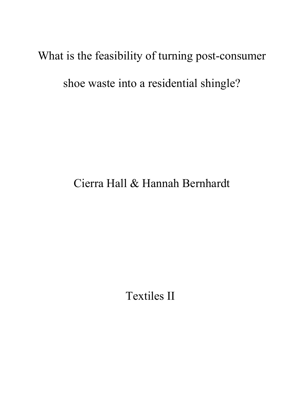## What is the feasibility of turning post-consumer

shoe waste into a residential shingle?

# Cierra Hall & Hannah Bernhardt

Textiles II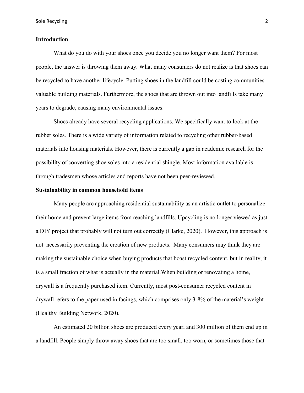### **Introduction**

What do you do with your shoes once you decide you no longer want them? For most people, the answer is throwing them away. What many consumers do not realize is that shoes can be recycled to have another lifecycle. Putting shoes in the landfill could be costing communities valuable building materials. Furthermore, the shoes that are thrown out into landfills take many years to degrade, causing many environmental issues.

Shoes already have several recycling applications. We specifically want to look at the rubber soles. There is a wide variety of information related to recycling other rubber-based materials into housing materials. However, there is currently a gap in academic research for the possibility of converting shoe soles into a residential shingle. Most information available is through tradesmen whose articles and reports have not been peer-reviewed.

#### **Sustainability in common household items**

Many people are approaching residential sustainability as an artistic outlet to personalize their home and prevent large items from reaching landfills. Upcycling is no longer viewed as just a DIY project that probably will not turn out correctly (Clarke, 2020). However, this approach is not necessarily preventing the creation of new products. Many consumers may think they are making the sustainable choice when buying products that boast recycled content, but in reality, it is a small fraction of what is actually in the material.When building or renovating a home, drywall is a frequently purchased item. Currently, most post-consumer recycled content in drywall refers to the paper used in facings, which comprises only 3-8% of the material's weight (Healthy Building Network, 2020).

An estimated 20 billion shoes are produced every year, and 300 million of them end up in a landfill. People simply throw away shoes that are too small, too worn, or sometimes those that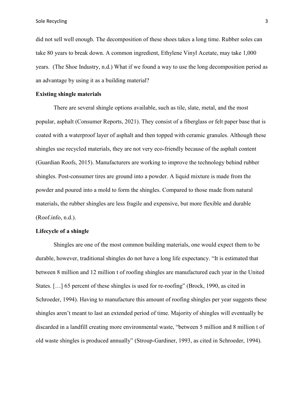Sole Recycling 3

did not sell well enough. The decomposition of these shoes takes a long time. Rubber soles can take 80 years to break down. A common ingredient, Ethylene Vinyl Acetate, may take 1,000 years. (The Shoe Industry, n.d.) What if we found a way to use the long decomposition period as an advantage by using it as a building material?

#### **Existing shingle materials**

There are several shingle options available, such as tile, slate, metal, and the most popular, asphalt (Consumer Reports, 2021). They consist of a fiberglass or felt paper base that is coated with a waterproof layer of asphalt and then topped with ceramic granules. Although these shingles use recycled materials, they are not very eco-friendly because of the asphalt content (Guardian Roofs, 2015). Manufacturers are working to improve the technology behind rubber shingles. Post-consumer tires are ground into a powder. A liquid mixture is made from the powder and poured into a mold to form the shingles. Compared to those made from natural materials, the rubber shingles are less fragile and expensive, but more flexible and durable (Roof.info, n.d.).

### **Lifecycle of a shingle**

Shingles are one of the most common building materials, one would expect them to be durable, however, traditional shingles do not have a long life expectancy. "It is estimated that between 8 million and 12 million t of roofing shingles are manufactured each year in the United States. […] 65 percent of these shingles is used for re-roofing" (Brock, 1990, as cited in Schroeder, 1994). Having to manufacture this amount of roofing shingles per year suggests these shingles aren't meant to last an extended period of time. Majority of shingles will eventually be discarded in a landfill creating more environmental waste, "between 5 million and 8 million t of old waste shingles is produced annually" (Stroup-Gardiner, 1993, as cited in Schroeder, 1994).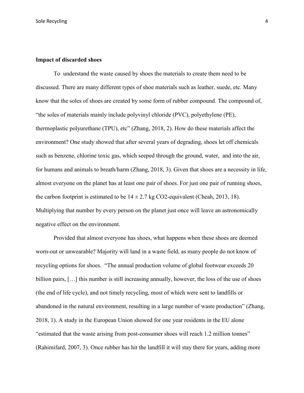Sole Recycling 4 and 2008 and 2008 and 2008 and 2008 and 2008 and 2008 and 2008 and 2008 and 2008 and 2008 and 2008 and 2008 and 2008 and 2008 and 2008 and 2008 and 2008 and 2008 and 2008 and 2008 and 2008 and 2008 and 200

#### **Impact of discarded shoes**

To understand the waste caused by shoes the materials to create them need to be discussed. There are many different types of shoe materials such as leather, suede, etc. Many know that the soles of shoes are created by some form of rubber compound. The compound of, "the soles of materials mainly include polyvinyl chloride (PVC), polyethylene (PE), thermoplastic polyurethane (TPU), etc" (Zhang, 2018, 2). How do these materials affect the environment? One study showed that after several years of degrading, shoes let off chemicals such as benzene, chlorine toxic gas, which seeped through the ground, water, and into the air, for humans and animals to breath/harm (Zhang, 2018, 3). Given that shoes are a necessity in life, almost everyone on the planet has at least one pair of shoes. For just one pair of running shoes, the carbon footprint is estimated to be  $14 \pm 2.7$  kg CO2-equivalent (Cheah, 2013, 18). Multiplying that number by every person on the planet just once will leave an astronomically negative effect on the environment.

Provided that almost everyone has shoes, what happens when these shoes are deemed worn-out or unwearable? Majority will land in a waste field, as many people do not know of recycling options for shoes. "The annual production volume of global footwear exceeds 20 billion pairs, [...] this number is still increasing annually, however, the loss of the use of shoes (the end of life cycle), and not timely recycling, most of which were sent to landfills or abandoned in the natural environment, resulting in a large number of waste production" (Zhang, 2018, 1). A study in the European Union showed for one year residents in the EU alone "estimated that the waste arising from post-consumer shoes will reach 1.2 million tonnes" (Rahimifard, 2007, 3). Once rubber has hit the landfill it will stay there for years, adding more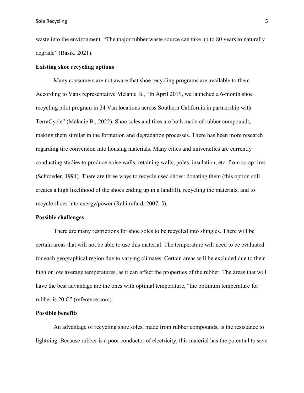waste into the environment. "The major rubber waste source can take up to 80 years to naturally degrade" (Basik, 2021).

#### **Existing shoe recycling options**

Many consumers are not aware that shoe recycling programs are available to them. According to Vans representative Melanie B., "In April 2019, we launched a 6-month shoe recycling pilot program in 24 Van locations across Southern California in partnership with TerraCycle" (Melanie B., 2022). Shoe soles and tires are both made of rubber compounds, making them similar in the formation and degradation processes. There has been more research regarding tire conversion into housing materials. Many cities and universities are currently conducting studies to produce noise walls, retaining walls, poles, insulation, etc. from scrap tires (Schroeder, 1994). There are three ways to recycle used shoes: donating them (this option still creates a high likelihood of the shoes ending up in a landfill), recycling the materials, and to recycle shoes into energy/power (Rahimifard, 2007, 5).

#### **Possible challenges**

There are many restrictions for shoe soles to be recycled into shingles. There will be certain areas that will not be able to use this material. The temperature will need to be evaluated for each geographical region due to varying climates. Certain areas will be excluded due to their high or low average temperatures, as it can affect the properties of the rubber. The areas that will have the best advantage are the ones with optimal temperature, "the optimum temperature for rubber is 20 C" (reference.com).

#### **Possible benefits**

An advantage of recycling shoe soles, made from rubber compounds, is the resistance to lightning. Because rubber is a poor conductor of electricity, this material has the potential to save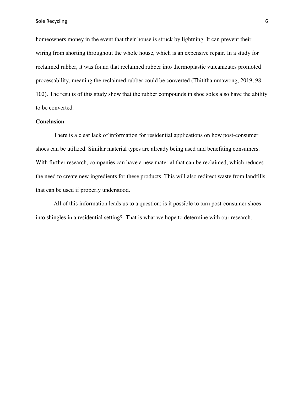homeowners money in the event that their house is struck by lightning. It can prevent their wiring from shorting throughout the whole house, which is an expensive repair. In a study for reclaimed rubber, it was found that reclaimed rubber into thermoplastic vulcanizates promoted processability, meaning the reclaimed rubber could be converted (Thitithammawong, 2019, 98- 102). The results of this study show that the rubber compounds in shoe soles also have the ability to be converted.

#### **Conclusion**

There is a clear lack of information for residential applications on how post-consumer shoes can be utilized. Similar material types are already being used and benefiting consumers. With further research, companies can have a new material that can be reclaimed, which reduces the need to create new ingredients for these products. This will also redirect waste from landfills that can be used if properly understood.

All of this information leads us to a question: is it possible to turn post-consumer shoes into shingles in a residential setting? That is what we hope to determine with our research.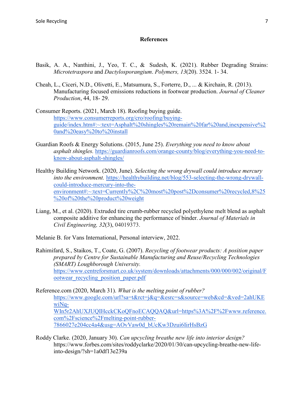### **References**

- Basik, A. A., Nanthini, J., Yeo, T. C., & Sudesh, K. (2021). Rubber Degrading Strains: *Microtetraspora* and *Dactylosporangium*. *Polymers, 13*(20). 3524. 1- 34.
- Cheah, L., Ciceri, N.D., Olivetti, E., Matsumura, S., Forterre, D., ... & Kirchain, R. (2013). Manufacturing focused emissions reductions in footwear production. *Journal of Cleaner Production*, 44, 18- 29.
- Consumer Reports. (2021, March 18). Roofing buying guide. [https://www.consumerreports.org/cro/roofing/buying](https://www.consumerreports.org/cro/roofing/buying-guide/index.htm#:%7E:text=Asphalt%20shingles%20remain%20far%20and,inexpensive%20and%20easy%20to%20install)[guide/index.htm#:~:text=Asphalt%20shingles%20remain%20far%20and,inexpensive%2](https://www.consumerreports.org/cro/roofing/buying-guide/index.htm#:%7E:text=Asphalt%20shingles%20remain%20far%20and,inexpensive%20and%20easy%20to%20install) [0and%20easy%20to%20install](https://www.consumerreports.org/cro/roofing/buying-guide/index.htm#:%7E:text=Asphalt%20shingles%20remain%20far%20and,inexpensive%20and%20easy%20to%20install)
- Guardian Roofs & Energy Solutions. (2015, June 25). *Everything you need to know about asphalt shingles.* [https://guardianroofs.com/orange-county/blog/everything-you-need-to](https://guardianroofs.com/orange-county/blog/everything-you-need-to-know-about-asphalt-shingles/)[know-about-asphalt-shingles/](https://guardianroofs.com/orange-county/blog/everything-you-need-to-know-about-asphalt-shingles/)
- Healthy Building Network. (2020, June). *Selecting the wrong drywall could introduce mercury into the environment.* [https://healthybuilding.net/blog/553-selecting-the-wrong-drywall](https://healthybuilding.net/blog/553-selecting-the-wrong-drywall-could-introduce-mercury-into-the-environment#:%7E:text=Currently%2C%20most%20post%2Dconsumer%20recycled,8%25%20of%20the%20product%20weight)[could-introduce-mercury-into-the](https://healthybuilding.net/blog/553-selecting-the-wrong-drywall-could-introduce-mercury-into-the-environment#:%7E:text=Currently%2C%20most%20post%2Dconsumer%20recycled,8%25%20of%20the%20product%20weight)[environment#:~:text=Currently%2C%20most%20post%2Dconsumer%20recycled,8%25](https://healthybuilding.net/blog/553-selecting-the-wrong-drywall-could-introduce-mercury-into-the-environment#:%7E:text=Currently%2C%20most%20post%2Dconsumer%20recycled,8%25%20of%20the%20product%20weight) [%20of%20the%20product%20weight](https://healthybuilding.net/blog/553-selecting-the-wrong-drywall-could-introduce-mercury-into-the-environment#:%7E:text=Currently%2C%20most%20post%2Dconsumer%20recycled,8%25%20of%20the%20product%20weight)
- Liang, M., et al. (2020). Extruded tire crumb-rubber recycled polyethylene melt blend as asphalt composite additive for enhancing the performance of binder. *Journal of Materials in Civil Engineering, 32*(3), 04019373.
- Melanie B. for Vans International, Personal interview, 2022.
- Rahimifard, S., Staikos, T., Coate, G. (2007). *Recycling of footwear products: A position paper prepared by Centre for Sustainable Manufacturing and Reuse/Recycling Technologies (SMART) Loughborough University.*  [https://www.centreforsmart.co.uk/system/downloads/attachments/000/000/002/original/F](https://www.centreforsmart.co.uk/system/downloads/attachments/000/000/002/original/Footwear_recycling_position_paper.pdf) [ootwear\\_recycling\\_position\\_paper.pdf](https://www.centreforsmart.co.uk/system/downloads/attachments/000/000/002/original/Footwear_recycling_position_paper.pdf)
- Reference.com (2020, March 31). *What is the melting point of rubber?*  [https://www.google.com/url?sa=t&rct=j&q=&esrc=s&source=web&cd=&ved=2ahUKE](https://www.reference.com/science/melting-point-rubber-7866027e204cc4a4) [wiNq-](https://www.reference.com/science/melting-point-rubber-7866027e204cc4a4)[WIn5r2AhUXJUQIHcckCKoQFnoECAQQAQ&url=https%3A%2F%2Fwww.reference.](https://www.reference.com/science/melting-point-rubber-7866027e204cc4a4) [com%2Fscience%2Fmelting-point-rubber-](https://www.reference.com/science/melting-point-rubber-7866027e204cc4a4)[7866027e204cc4a4&usg=AOvVaw0d\\_bUcKw3Dzui6IirHsBzG](https://www.reference.com/science/melting-point-rubber-7866027e204cc4a4)
- Roddy Clarke. (2020, January 30). *Can upcycling breathe new life into interior design?*  https://www.forbes.com/sites/roddyclarke/2020/01/30/can-upcycling-breathe-new-lifeinto-design/?sh=1a0df13e239a